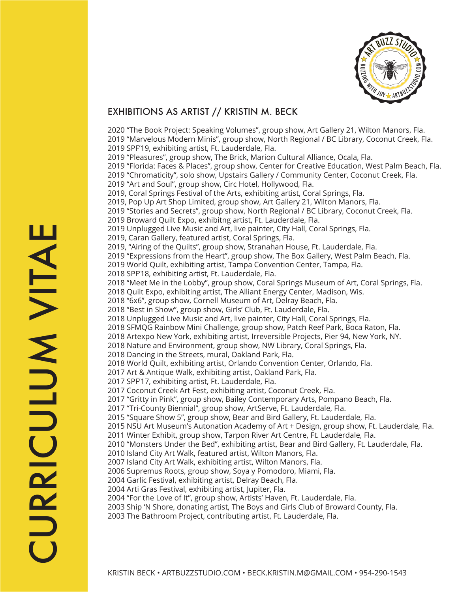

## EXHIBITIONS AS ARTIST // KRISTIN M. BECK

2020 "The Book Project: Speaking Volumes", group show, Art Gallery 21, Wilton Manors, Fla. 2019 "Marvelous Modern Minis", group show, North Regional / BC Library, Coconut Creek, Fla. 2019 SPF'19, exhibiting artist, Ft. Lauderdale, Fla. 2019 "Pleasures", group show, The Brick, Marion Cultural Alliance, Ocala, Fla. 2019 "Florida: Faces & Places", group show, Center for Creative Education, West Palm Beach, Fla. 2019 "Chromaticity", solo show, Upstairs Gallery / Community Center, Coconut Creek, Fla. 2019 "Art and Soul", group show, Circ Hotel, Hollywood, Fla. 2019, Coral Springs Festival of the Arts, exhibiting artist, Coral Springs, Fla. 2019, Pop Up Art Shop Limited, group show, Art Gallery 21, Wilton Manors, Fla. 2019 "Stories and Secrets", group show, North Regional / BC Library, Coconut Creek, Fla. 2019 Broward Quilt Expo, exhibitng artist, Ft. Lauderdale, Fla. 2019 Unplugged Live Music and Art, live painter, City Hall, Coral Springs, Fla. 2019, Caran Gallery, featured artist, Coral Springs, Fla. 2019, "Airing of the Quilts", group show, Stranahan House, Ft. Lauderdale, Fla. 2019 "Expressions from the Heart", group show, The Box Gallery, West Palm Beach, Fla. 2019 World Quilt, exhibiting artist, Tampa Convention Center, Tampa, Fla. 2018 SPF'18, exhibiting artist, Ft. Lauderdale, Fla. 2018 "Meet Me in the Lobby", group show, Coral Springs Museum of Art, Coral Springs, Fla. 2018 Quilt Expo, exhibiting artist, The Alliant Energy Center, Madison, Wis. 2018 "6x6", group show, Cornell Museum of Art, Delray Beach, Fla. 2018 "Best in Show", group show, Girls' Club, Ft. Lauderdale, Fla. 2018 Unplugged Live Music and Art, live painter, City Hall, Coral Springs, Fla. 2018 SFMQG Rainbow Mini Challenge, group show, Patch Reef Park, Boca Raton, Fla. 2018 Artexpo New York, exhibiting artist, Irreversible Projects, Pier 94, New York, NY. 2018 Nature and Environment, group show, NW Library, Coral Springs, Fla. 2018 Dancing in the Streets, mural, Oakland Park, Fla. 2018 World Quilt, exhibiting artist, Orlando Convention Center, Orlando, Fla. 2017 Art & Antique Walk, exhibiting artist, Oakland Park, Fla. 2017 SPF'17, exhibiting artist, Ft. Lauderdale, Fla. 2017 Coconut Creek Art Fest, exhibiting artist, Coconut Creek, Fla. 2017 "Gritty in Pink", group show, Bailey Contemporary Arts, Pompano Beach, Fla. 2017 "Tri-County Biennial", group show, ArtServe, Ft. Lauderdale, Fla. 2015 "Square Show 5", group show, Bear and Bird Gallery, Ft. Lauderdale, Fla. 2015 NSU Art Museum's Autonation Academy of Art + Design, group show, Ft. Lauderdale, Fla. 2011 Winter Exhibit, group show, Tarpon River Art Centre, Ft. Lauderdale, Fla. 2010 "Monsters Under the Bed", exhibiting artist, Bear and Bird Gallery, Ft. Lauderdale, Fla. 2010 Island City Art Walk, featured artist, Wilton Manors, Fla. 2007 Island City Art Walk, exhibiting artist, Wilton Manors, Fla. 2006 Supremus Roots, group show, Soya y Pomodoro, Miami, Fla. 2004 Garlic Festival, exhibiting artist, Delray Beach, Fla. 2004 Arti Gras Festival, exhibiting artist, Jupiter, Fla. 2004 "For the Love of It", group show, Artists' Haven, Ft. Lauderdale, Fla. 2003 Ship 'N Shore, donating artist, The Boys and Girls Club of Broward County, Fla. 2003 The Bathroom Project, contributing artist, Ft. Lauderdale, Fla.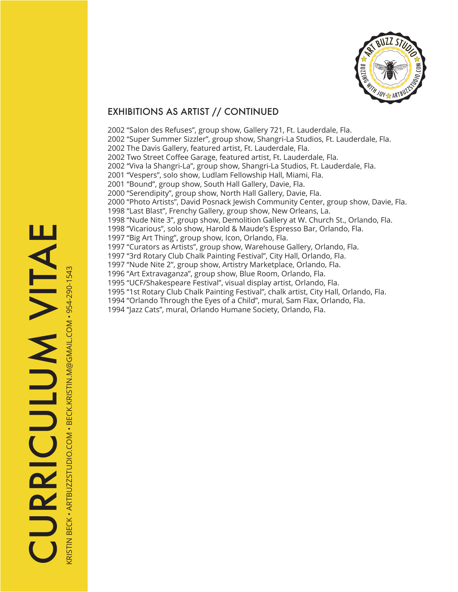

## EXHIBITIONS AS ARTIST // CONTINUED

2002 "Salon des Refuses", group show, Gallery 721, Ft. Lauderdale, Fla. 2002 "Super Summer Sizzler", group show, Shangri-La Studios, Ft. Lauderdale, Fla. 2002 The Davis Gallery, featured artist, Ft. Lauderdale, Fla. 2002 Two Street Coffee Garage, featured artist, Ft. Lauderdale, Fla. 2002 "Viva la Shangri-La", group show, Shangri-La Studios, Ft. Lauderdale, Fla. 2001 "Vespers", solo show, Ludlam Fellowship Hall, Miami, Fla. 2001 "Bound", group show, South Hall Gallery, Davie, Fla. 2000 "Serendipity", group show, North Hall Gallery, Davie, Fla. 2000 "Photo Artists", David Posnack Jewish Community Center, group show, Davie, Fla. 1998 "Last Blast", Frenchy Gallery, group show, New Orleans, La. 1998 "Nude Nite 3", group show, Demolition Gallery at W. Church St., Orlando, Fla. 1998 "Vicarious", solo show, Harold & Maude's Espresso Bar, Orlando, Fla. 1997 "Big Art Thing", group show, Icon, Orlando, Fla. 1997 "Curators as Artists", group show, Warehouse Gallery, Orlando, Fla. 1997 "3rd Rotary Club Chalk Painting Festival", City Hall, Orlando, Fla. 1997 "Nude Nite 2", group show, Artistry Marketplace, Orlando, Fla. 1996 "Art Extravaganza", group show, Blue Room, Orlando, Fla. 1995 "UCF/Shakespeare Festival", visual display artist, Orlando, Fla. 1995 "1st Rotary Club Chalk Painting Festival", chalk artist, City Hall, Orlando, Fla. 1994 "Orlando Through the Eyes of a Child", mural, Sam Flax, Orlando, Fla. 1994 "Jazz Cats", mural, Orlando Humane Society, Orlando, Fla.

KRISTIN BECK • ARTBUZZSTUDIO.COM • BECK.KRISTIN.M@GMAIL.COM • 954-290-1543

(RISTIN BECK • ARTBUZZSTUDIO.COM • BECK.KRISTIN.M@GMAIL.COM • 954-290-1543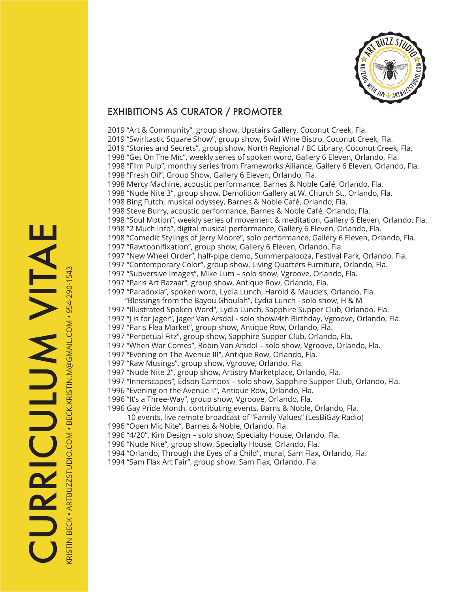

## EXHIBITIONS AS CURATOR / PROMOTER

2019 "Art & Community", group show, Upstairs Gallery, Coconut Creek, Fla. 2019 "Swirltastic Square Show", group show, Swirl Wine Bistro, Coconut Creek, Fla. 2019 "Stories and Secrets", group show, North Regional / BC Library, Coconut Creek, Fla. 1998 "Get On The Mic", weekly series of spoken word, Gallery 6 Eleven, Orlando, Fla. 1998 "Film Pulp", monthly series from Frameworks Alliance, Gallery 6 Eleven, Orlando, Fla. 1998 "Fresh Oil", Group Show, Gallery 6 Eleven, Orlando, Fla. 1998 Mercy Machine, acoustic performance, Barnes & Noble Café, Orlando, Fla. 1998 "Nude Nite 3", group show, Demolition Gallery at W. Church St., Orlando, Fla. 1998 Bing Futch, musical odyssey, Barnes & Noble Café, Orlando, Fla. 1998 Steve Burry, acoustic performance, Barnes & Noble Café, Orlando, Fla. 1998 "Soul Motion", weekly series of movement & meditation, Gallery 6 Eleven, Orlando, Fla. 1998 "2 Much Info", digital musical performance, Gallery 6 Eleven, Orlando, Fla. 1998 "Comedic Stylings of Jerry Moore", solo performance, Gallery 6 Eleven, Orlando, Fla. 1997 "Rawtoonifixation", group show, Gallery 6 Eleven, Orlando, Fla. 1997 "New Wheel Order", half-pipe demo, Summerpalooza, Festival Park, Orlando, Fla. 1997 "Contemporary Color", group show, Living Quarters Furniture, Orlando, Fla. 1997 "Subversive Images", Mike Lum – solo show, Vgroove, Orlando, Fla. 1997 "Paris Art Bazaar", group show, Antique Row, Orlando, Fla. 1997 "Paradoxia", spoken word, Lydia Lunch, Harold & Maude's, Orlando, Fla. "Blessings from the Bayou Ghoulah", Lydia Lunch - solo show, H & M 1997 "Illustrated Spoken Word", Lydia Lunch, Sapphire Supper Club, Orlando, Fla. 1997 "J is for Jager", Jager Van Arsdol - solo show/4th Birthday, Vgroove, Orlando, Fla. 1997 "Paris Flea Market", group show, Antique Row, Orlando, Fla. 1997 "Perpetual Fitz", group show, Sapphire Supper Club, Orlando, Fla. 1997 "When War Comes", Robin Van Arsdol – solo show, Vgroove, Orlando, Fla. 1997 "Evening on The Avenue III", Antique Row, Orlando, Fla. 1997 "Raw Musings", group show, Vgroove, Orlando, Fla. 1997 "Nude Nite 2", group show, Artistry Marketplace, Orlando, Fla. 1997 "Innerscapes", Edson Campos – solo show, Sapphire Supper Club, Orlando, Fla. 1996 "Evening on the Avenue II", Antique Row, Orlando, Fla. 1996 "It's a Three-Way", group show, Vgroove, Orlando, Fla. 1996 Gay Pride Month, contributing events, Barns & Noble, Orlando, Fla. 10 events, live remote broadcast of "Family Values" (LesBiGay Radio) 1996 "Open Mic Nite", Barnes & Noble, Orlando, Fla. 1996 "4/20", Kim Design – solo show, Specialty House, Orlando, Fla. 1996 "Nude Nite", group show, Specialty House, Orlando, Fla. 1994 "Orlando, Through the Eyes of a Child", mural, Sam Flax, Orlando, Fla.

1994 "Sam Flax Art Fair", group show, Sam Flax, Orlando, Fla.

KRISTIN BECK • ARTBUZZSTUDIO.COM • BECK.KRISTIN.M@GMAIL.COM • 954-290-1543

(RISTIN BECK • ARTBUZZSTUDIO.COM • BECK.KRISTIN.M@GMAIL.COM • 954-290-1543